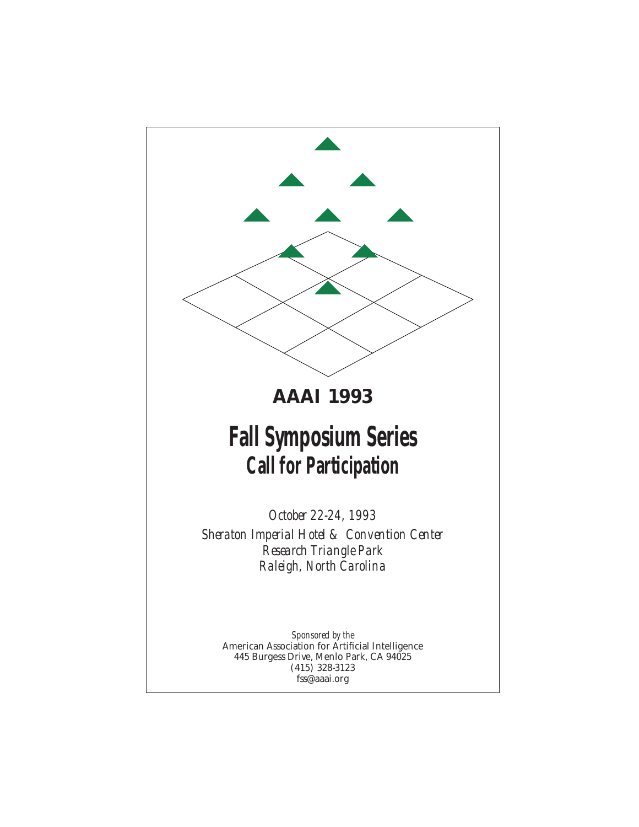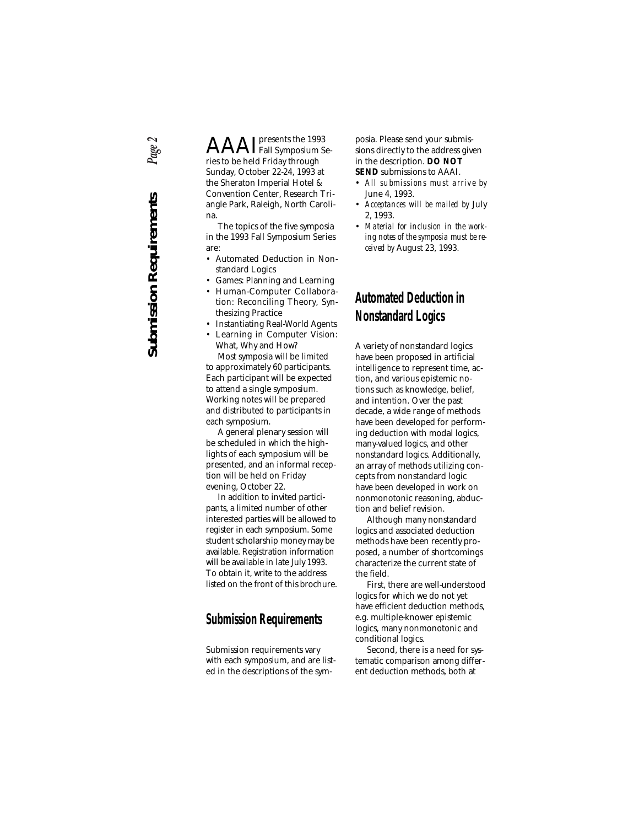Page 2 **Submission Requirements** *Page 2***Submission Requirements** 

AAAIpresents the 1993 Fall Symposium Series to be held Friday through Sunday, October 22-24, 1993 at the Sheraton Imperial Hotel & Convention Center, Research Triangle Park, Raleigh, North Carolina.

The topics of the five symposia in the 1993 Fall Symposium Series are:

- Automated Deduction in Nonstandard Logics
- Games: Planning and Learning
- Human-Computer Collaboration: Reconciling Theory, Synthesizing Practice
- Instantiating Real-World Agents
- Learning in Computer Vision: What, Why and How?

Most symposia will be limited to approximately 60 participants. Each participant will be expected to attend a single symposium. Working notes will be prepared and distributed to participants in each symposium.

A general plenary session will be scheduled in which the highlights of each symposium will be presented, and an informal reception will be held on Friday evening, October 22.

In addition to invited participants, a limited number of other interested parties will be allowed to register in each symposium. Some student scholarship money may be available. Registration information will be available in late July 1993. To obtain it, write to the address listed on the front of this brochure.

## **Submission Requirements**

Submission requirements vary with each symposium, and are listed in the descriptions of the symposia. Please send your submissions directly to the address given in the description. **DO NOT SEND** submissions to AAAI.

- *All submissions must arrive by* June 4, 1993.
- *Acceptances will be mailed by* July 2, 1993.
- *Material for inclusion in the working notes of the symposia must be received by* August 23, 1993.

## **Automated Deduction in Nonstandard Logics**

A variety of nonstandard logics have been proposed in artificial intelligence to represent time, action, and various epistemic notions such as knowledge, belief, and intention. Over the past decade, a wide range of methods have been developed for performing deduction with modal logics, many-valued logics, and other nonstandard logics. Additionally, an array of methods utilizing concepts from nonstandard logic have been developed in work on nonmonotonic reasoning, abduction and belief revision.

Although many nonstandard logics and associated deduction methods have been recently proposed, a number of shortcomings characterize the current state of the field.

First, there are well-understood logics for which we do not yet have efficient deduction methods, e.g. multiple-knower epistemic logics, many nonmonotonic and conditional logics.

Second, there is a need for systematic comparison among different deduction methods, both at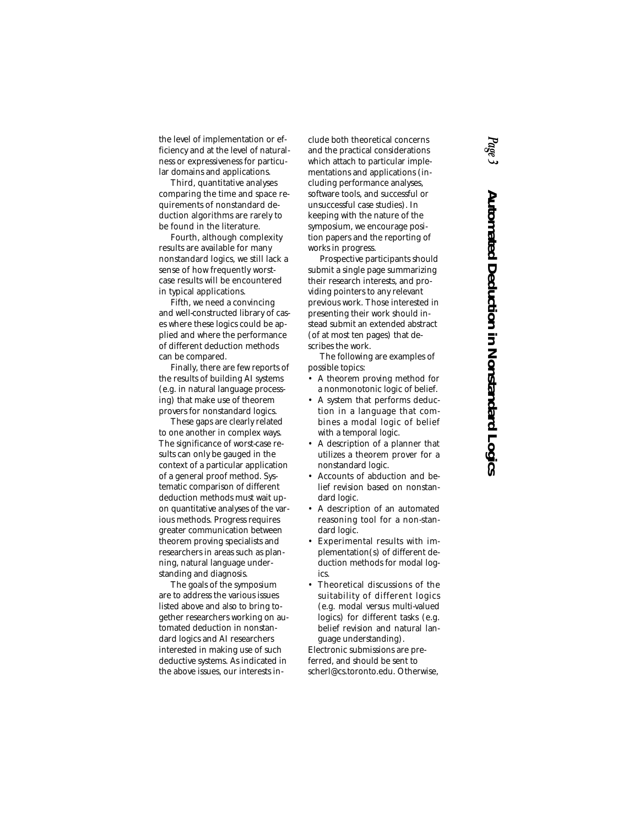the level of implementation or efficiency and at the level of naturalness or expressiveness for particular domains and applications.

Third, quantitative analyses comparing the time and space requirements of nonstandard deduction algorithms are rarely to be found in the literature.

Fourth, although complexity results are available for many nonstandard logics, we still lack a sense of how frequently worstcase results will be encountered in typical applications.

Fifth, we need a convincing and well-constructed library of cases where these logics could be applied and where the performance of different deduction methods can be compared.

Finally, there are few reports of the results of building AI systems (e.g. in natural language processing) that make use of theorem provers for nonstandard logics.

These gaps are clearly related to one another in complex ways. The significance of worst-case results can only be gauged in the context of a particular application of a general proof method. Systematic comparison of different deduction methods must wait upon quantitative analyses of the various methods. Progress requires greater communication between theorem proving specialists and researchers in areas such as planning, natural language understanding and diagnosis.

The goals of the symposium are to address the various issues listed above and also to bring together researchers working on automated deduction in nonstandard logics and AI researchers interested in making use of such deductive systems. As indicated in the above issues, our interests include both theoretical concerns and the practical considerations which attach to particular implementations and applications (including performance analyses, software tools, and successful or unsuccessful case studies). In keeping with the nature of the symposium, we encourage position papers and the reporting of works in progress.

Prospective participants should submit a single page summarizing their research interests, and providing pointers to any relevant previous work. Those interested in presenting their work should instead submit an extended abstract (of at most ten pages) that describes the work.

The following are examples of possible topics:

- A theorem proving method for a nonmonotonic logic of belief.
- A system that performs deduction in a language that combines a modal logic of belief with a temporal logic.
- A description of a planner that utilizes a theorem prover for a nonstandard logic.
- Accounts of abduction and belief revision based on nonstandard logic.
- A description of an automated reasoning tool for a non-standard logic.
- Experimental results with implementation(s) of different deduction methods for modal logics.
- Theoretical discussions of the suitability of different logics (e.g. modal versus multi-valued logics) for different tasks (e.g. belief revision and natural language understanding).

Electronic submissions are preferred, and should be sent to scherl@cs.toronto.edu. Otherwise,

## *Page 3* Automated Deduction in Nonstandard Logics **Automated Deduction in Nonstandard Logics**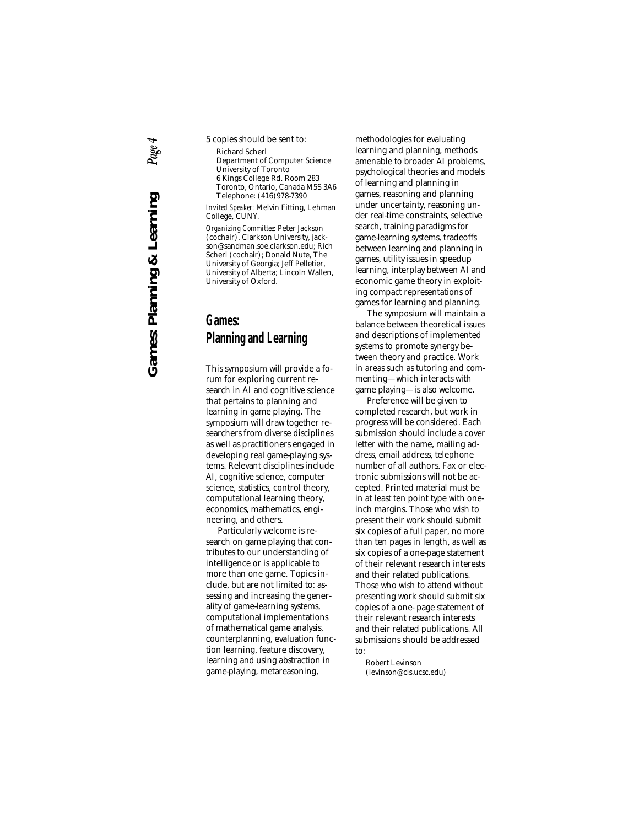- 5 copies should be sent to:
	- Richard Scherl Department of Computer Science University of Toronto 6 Kings College Rd. Room 283 Toronto, Ontario, Canada M5S 3A6 Telephone: (416)978-7390

*Invited Speaker:* Melvin Fitting, Lehman College, CUNY.

*Organizing Committee:* Peter Jackson (cochair), Clarkson University, jackson@sandman.soe.clarkson.edu; Rich Scherl (cochair); Donald Nute, The University of Georgia; Jeff Pelletier, University of Alberta; Lincoln Wallen, University of Oxford.

## **Games: Planning and Learning**

This symposium will provide a forum for exploring current research in AI and cognitive science that pertains to planning and learning in game playing. The symposium will draw together researchers from diverse disciplines as well as practitioners engaged in developing real game-playing systems. Relevant disciplines include AI, cognitive science, computer science, statistics, control theory, computational learning theory, economics, mathematics, engineering, and others.

Particularly welcome is research on game playing that contributes to our understanding of intelligence or is applicable to more than one game. Topics include, but are not limited to: assessing and increasing the generality of game-learning systems, computational implementations of mathematical game analysis, counterplanning, evaluation function learning, feature discovery, learning and using abstraction in game-playing, metareasoning,

methodologies for evaluating learning and planning, methods amenable to broader AI problems, psychological theories and models of learning and planning in games, reasoning and planning under uncertainty, reasoning under real-time constraints, selective search, training paradigms for game-learning systems, tradeoffs between learning and planning in games, utility issues in speedup learning, interplay between AI and economic game theory in exploiting compact representations of games for learning and planning.

The symposium will maintain a balance between theoretical issues and descriptions of implemented systems to promote synergy between theory and practice. Work in areas such as tutoring and commenting—which interacts with game playing—is also welcome.

Preference will be given to completed research, but work in progress will be considered. Each submission should include a cover letter with the name, mailing address, email address, telephone number of all authors. Fax or electronic submissions will not be accepted. Printed material must be in at least ten point type with oneinch margins. Those who wish to present their work should submit six copies of a full paper, no more than ten pages in length, as well as six copies of a one-page statement of their relevant research interests and their related publications. Those who wish to attend without presenting work should submit six copies of a one- page statement of their relevant research interests and their related publications. All submissions should be addressed to:

Robert Levinson (levinson@cis.ucsc.edu)

**Games: Planning & Learning** *Page 4*Page **Games: Planning & Learning**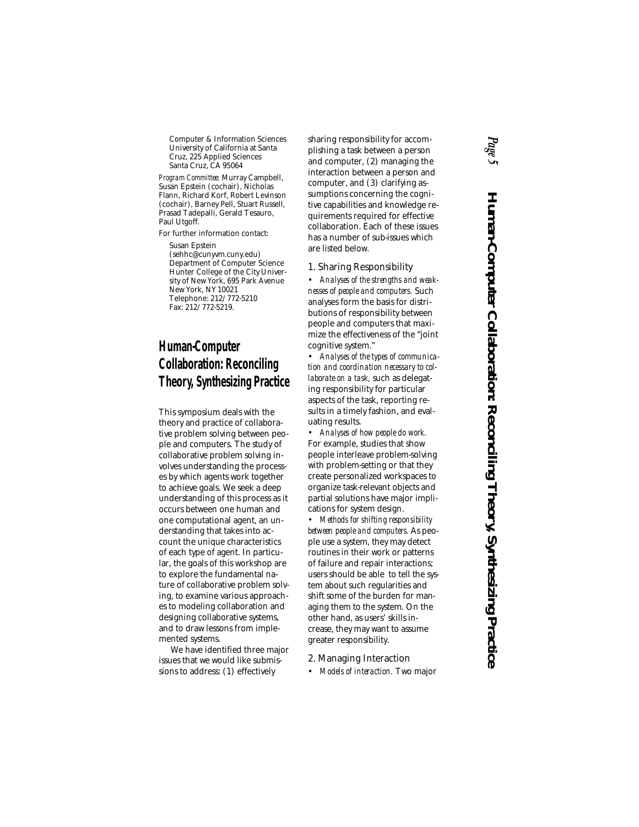Computer & Information Sciences University of California at Santa Cruz, 225 Applied Sciences Santa Cruz, CA 95064

*Program Committee:* Murray Campbell, Susan Epstein (cochair), Nicholas Flann, Richard Korf, Robert Levinson (cochair), Barney Pell, Stuart Russell, Prasad Tadepalli, Gerald Tesauro, Paul Utgoff.

For further information contact:

Susan Epstein (sehhc@cunyvm.cuny.edu) Department of Computer Science Hunter College of the City University of New York, 695 Park Avenue New York, NY 10021 Telephone: 212/772-5210 Fax: 212/772-5219.

## **Human-Computer Collaboration: Reconciling Theory, Synthesizing Practice**

This symposium deals with the theory and practice of collaborative problem solving between people and computers. The study of collaborative problem solving involves understanding the processes by which agents work together to achieve goals. We seek a deep understanding of this process as it occurs between one human and one computational agent, an understanding that takes into account the unique characteristics of each type of agent. In particular, the goals of this workshop are to explore the fundamental nature of collaborative problem solving, to examine various approaches to modeling collaboration and designing collaborative systems, and to draw lessons from implemented systems.

We have identified three major issues that we would like submissions to address: (1) effectively

sharing responsibility for accomplishing a task between a person and computer, (2) managing the interaction between a person and computer, and (3) clarifying assumptions concerning the cognitive capabilities and knowledge requirements required for effective collaboration. Each of these issues has a number of sub-issues which are listed below.

### 1. Sharing Responsibility

• *Analyses of the strengths and weaknesses of people and computers.* Such analyses form the basis for distributions of responsibility between people and computers that maximize the effectiveness of the "joint cognitive system."

• *Analyses of the types of communication and coordination necessary to collaborate on a task,* such as delegating responsibility for particular aspects of the task, reporting results in a timely fashion, and evaluating results.

• *Analyses of how people do work.* For example, studies that show people interleave problem-solving with problem-setting or that they create personalized workspaces to organize task-relevant objects and partial solutions have major implications for system design.

• *Methods for shifting responsibility between people and computers.* As people use a system, they may detect routines in their work or patterns of failure and repair interactions; users should be able to tell the system about such regularities and shift some of the burden for managing them to the system. On the other hand, as users' skills increase, they may want to assume greater responsibility.

2. Managing Interaction

• *Models of interaction.* Two major

# *Page 5* Human-Computer Collaboration: Reconciling Theory, Synthesizing Practice **Human-Computer Collaboration: Reconciling Theory, Synthesizing Practice**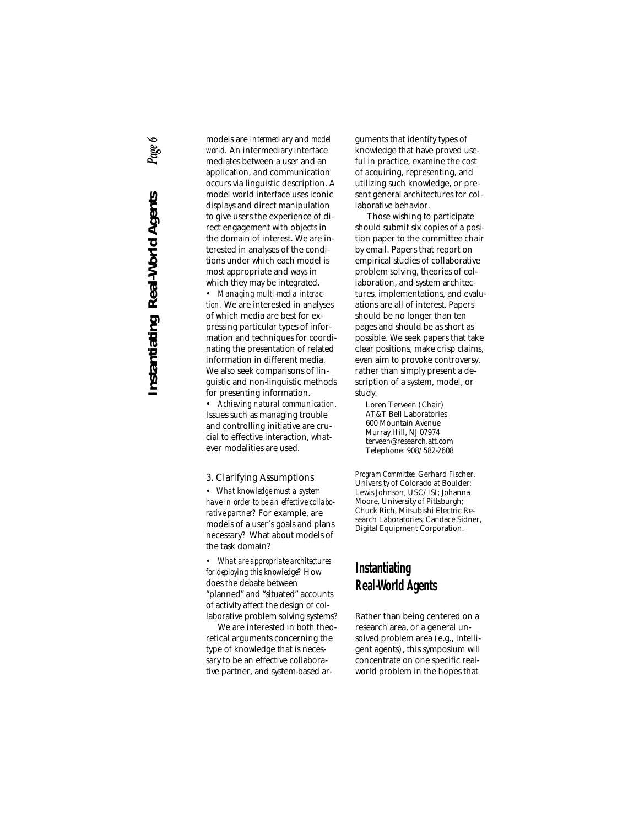## Page 6 **Instantiating Real-World Agents** *Page 6***Instantiating Real-World Agents**

models are *intermediary* and *model world.* An intermediary interface mediates between a user and an application, and communication occurs via linguistic description. A model world interface uses iconic displays and direct manipulation to give users the experience of direct engagement with objects in the domain of interest. We are interested in analyses of the conditions under which each model is most appropriate and ways in which they may be integrated.

• *Managing multi-media interaction.* We are interested in analyses of which media are best for expressing particular types of information and techniques for coordinating the presentation of related information in different media. We also seek comparisons of linguistic and non-linguistic methods for presenting information.

• *Achieving natural communication.* Issues such as managing trouble and controlling initiative are crucial to effective interaction, whatever modalities are used.

3. Clarifying Assumptions

• *What knowledge must a system have in order to be an effective collaborative partner?* For example, are models of a user's goals and plans necessary? What about models of the task domain?

• *What are appropriate architectures for deploying this knowledge?* How does the debate between "planned" and "situated" accounts of activity affect the design of collaborative problem solving systems?

We are interested in both theoretical arguments concerning the type of knowledge that is necessary to be an effective collaborative partner, and system-based arguments that identify types of knowledge that have proved useful in practice, examine the cost of acquiring, representing, and utilizing such knowledge, or present general architectures for collaborative behavior.

Those wishing to participate should submit six copies of a position paper to the committee chair by email. Papers that report on empirical studies of collaborative problem solving, theories of collaboration, and system architectures, implementations, and evaluations are all of interest. Papers should be no longer than ten pages and should be as short as possible. We seek papers that take clear positions, make crisp claims, even aim to provoke controversy, rather than simply present a description of a system, model, or study.

Loren Terveen (Chair) AT&T Bell Laboratories 600 Mountain Avenue Murray Hill, NJ 07974 terveen@research.att.com Telephone: 908/582-2608

*Program Committee:* Gerhard Fischer, University of Colorado at Boulder; Lewis Johnson, USC/ISI; Johanna Moore, University of Pittsburgh; Chuck Rich, Mitsubishi Electric Research Laboratories; Candace Sidner, Digital Equipment Corporation.

## **Instantiating Real-World Agents**

Rather than being centered on a research area, or a general unsolved problem area (e.g., intelligent agents), this symposium will concentrate on one specific realworld problem in the hopes that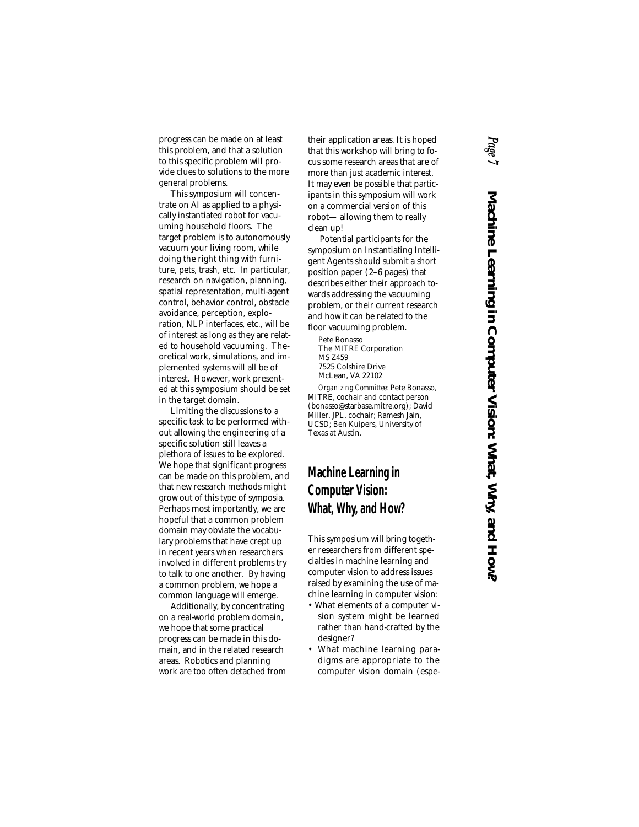progress can be made on at least this problem, and that a solution to this specific problem will provide clues to solutions to the more general problems.

This symposium will concentrate on AI as applied to a physically instantiated robot for vacuuming household floors. The target problem is to autonomously vacuum your living room, while doing the right thing with furniture, pets, trash, etc. In particular, research on navigation, planning, spatial representation, multi-agent control, behavior control, obstacle avoidance, perception, exploration, NLP interfaces, etc., will be of interest as long as they are related to household vacuuming. Theoretical work, simulations, and implemented systems will all be of interest. However, work presented at this symposium should be set in the target domain.

Limiting the discussions to a specific task to be performed without allowing the engineering of a specific solution still leaves a plethora of issues to be explored. We hope that significant progress can be made on this problem, and that new research methods might grow out of this type of symposia. Perhaps most importantly, we are hopeful that a common problem domain may obviate the vocabulary problems that have crept up in recent years when researchers involved in different problems try to talk to one another. By having a common problem, we hope a common language will emerge.

Additionally, by concentrating on a real-world problem domain, we hope that some practical progress can be made in this domain, and in the related research areas. Robotics and planning work are too often detached from their application areas. It is hoped that this workshop will bring to focus some research areas that are of more than just academic interest. It may even be possible that participants in this symposium will work on a commercial version of this robot— allowing them to really clean up!

Potential participants for the symposium on Instantiating Intelligent Agents should submit a short position paper (2–6 pages) that describes either their approach towards addressing the vacuuming problem, or their current research and how it can be related to the floor vacuuming problem.

Pete Bonasso The MITRE Corporation MS Z459 7525 Colshire Drive McLean, VA 22102

*Organizing Committee:* Pete Bonasso, MITRE, cochair and contact person (bonasso@starbase.mitre.org); David Miller, JPL, cochair; Ramesh Jain, UCSD; Ben Kuipers, University of Texas at Austin.

## **Machine Learning in Computer Vision: What, Why, and How?**

This symposium will bring together researchers from different specialties in machine learning and computer vision to address issues raised by examining the use of machine learning in computer vision:

- What elements of a computer vision system might be learned rather than hand-crafted by the designer?
- What machine learning paradigms are appropriate to the computer vision domain (espe-

## *Page 7* Machine Learning in Computer Vision: What, Why, and How? **Machine Learning in Computer Vision: What, Why, and How?**